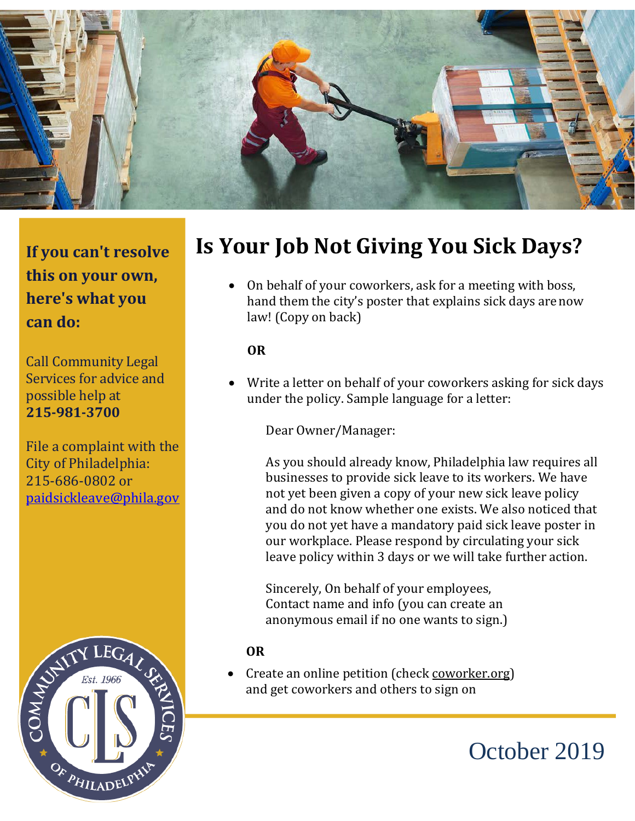

**If you can't resolve this on your own, here's what you can do:**

Call Community Legal Services for advice and possible help at **215-981-3700**

File a complaint with the City of Philadelphia: 215-686-0802 or [paidsickleave@phila.gov](mailto:paidsickleave@phila.gov)



## **Is Your Job Not Giving You Sick Days?**

• On behalf of your coworkers, ask for a meeting with boss, hand them the city's poster that explains sick days arenow law! (Copy on back)

## **OR**

• Write a letter on behalf of your coworkers asking for sick days under the policy. Sample language for a letter:

Dear Owner/Manager:

As you should already know, Philadelphia law requires all businesses to provide sick leave to its workers. We have not yet been given a copy of your new sick leave policy and do not know whether one exists. We also noticed that you do not yet have a mandatory paid sick leave poster in our workplace. Please respond by circulating your sick leave policy within 3 days or we will take further action.

Sincerely, On behalf of your employees, Contact name and info (you can create an anonymous email if no one wants to sign.)

## **OR**

• Create an online petition (check coworker.org) and get coworkers and others to sign on

# October 2019